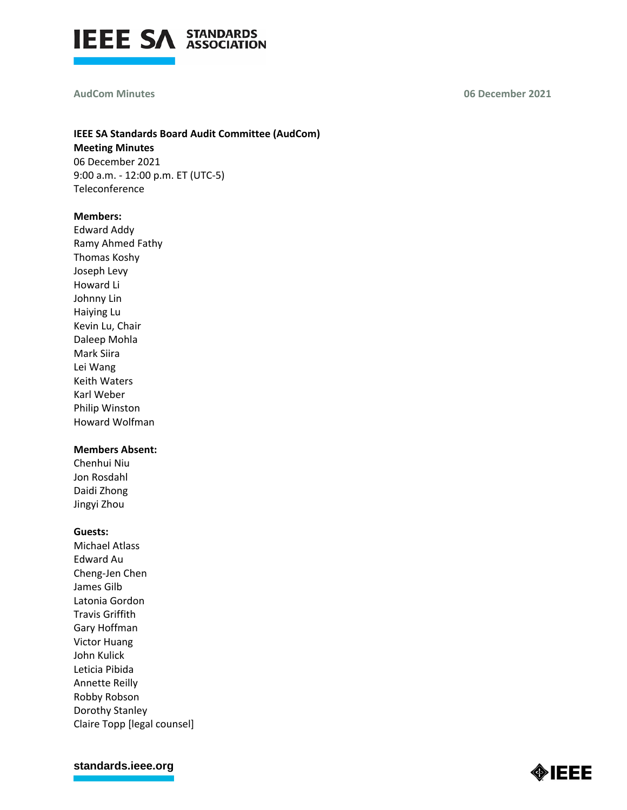

#### **AudCom Minutes**

**06 December 2021**

## **IEEE SA Standards Board Audit Committee (AudCom) Meeting Minutes** 06 December 2021

9:00 a.m. - 12:00 p.m. ET (UTC-5) Teleconference

#### **Members:**

Edward Addy Ramy Ahmed Fathy Thomas Koshy Joseph Levy Howard Li Johnny Lin Haiying Lu Kevin Lu, Chair Daleep Mohla Mark Siira Lei Wang Keith Waters Karl Weber Philip Winston Howard Wolfman

## **Members Absent:**

Chenhui Niu Jon Rosdahl Daidi Zhong Jingyi Zhou

#### **Guests:**

Michael Atlass Edward Au Cheng-Jen Chen James Gilb Latonia Gordon Travis Griffith Gary Hoffman Victor Huang John Kulick Leticia Pibida Annette Reilly Robby Robson Dorothy Stanley Claire Topp [legal counsel]

**[standards.ieee.org](http://standards.ieee.org/)**

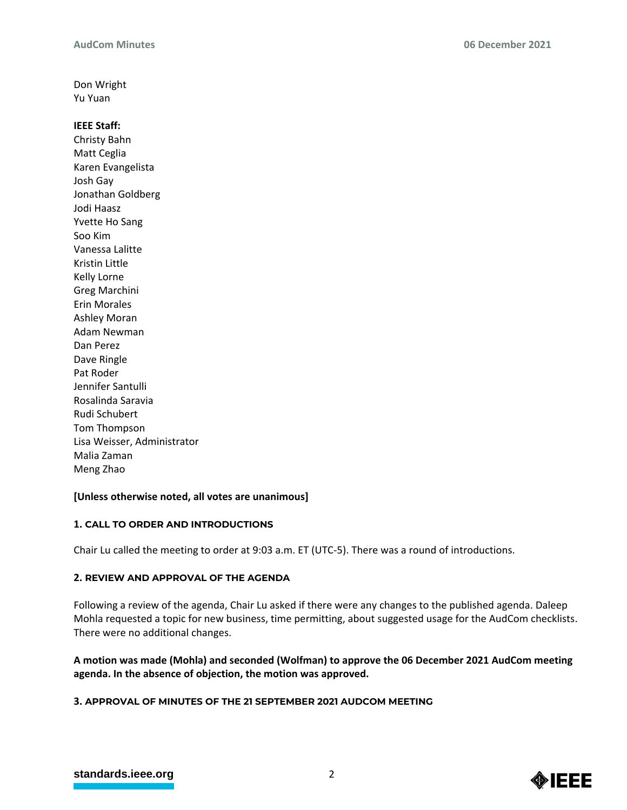Don Wright Yu Yuan

## **IEEE Staff:**

Christy Bahn Matt Ceglia Karen Evangelista Josh Gay Jonathan Goldberg Jodi Haasz Yvette Ho Sang Soo Kim Vanessa Lalitte Kristin Little Kelly Lorne Greg Marchini Erin Morales Ashley Moran Adam Newman Dan Perez Dave Ringle Pat Roder Jennifer Santulli Rosalinda Saravia Rudi Schubert Tom Thompson Lisa Weisser, Administrator Malia Zaman Meng Zhao

## **[Unless otherwise noted, all votes are unanimous]**

## **1. CALL TO ORDER AND INTRODUCTIONS**

Chair Lu called the meeting to order at 9:03 a.m. ET (UTC-5). There was a round of introductions.

## **2. REVIEW AND APPROVAL OF THE AGENDA**

Following a review of the agenda, Chair Lu asked if there were any changes to the published agenda. Daleep Mohla requested a topic for new business, time permitting, about suggested usage for the AudCom checklists. There were no additional changes.

# **A motion was made (Mohla) and seconded (Wolfman) to approve the 06 December 2021 AudCom meeting agenda. In the absence of objection, the motion was approved.**

## **3. APPROVAL OF MINUTES OF THE 21 SEPTEMBER 2021 AUDCOM MEETING**

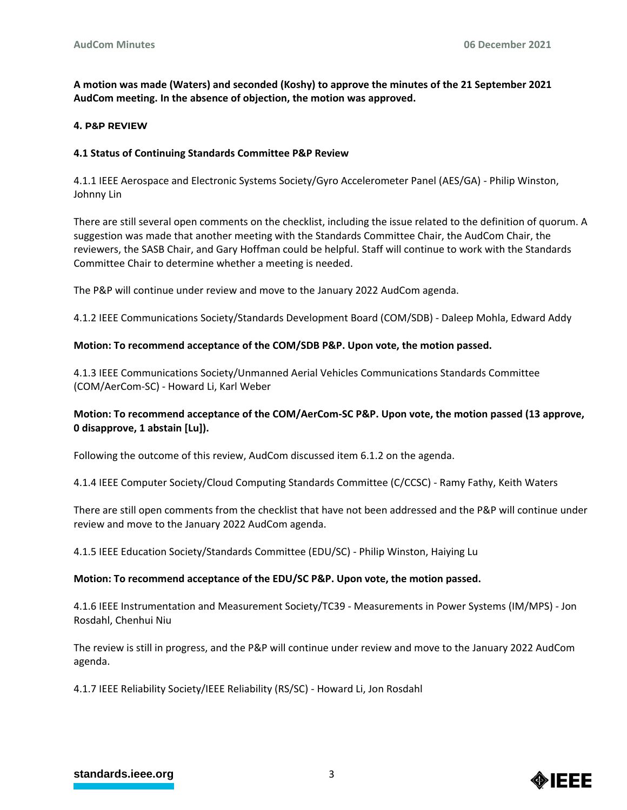**A motion was made (Waters) and seconded (Koshy) to approve the minutes of the 21 September 2021 AudCom meeting. In the absence of objection, the motion was approved.**

### **4. P&P REVIEW**

### **4.1 Status of Continuing Standards Committee P&P Review**

4.1.1 IEEE Aerospace and Electronic Systems Society/Gyro Accelerometer Panel (AES/GA) - Philip Winston, Johnny Lin

There are still several open comments on the checklist, including the issue related to the definition of quorum. A suggestion was made that another meeting with the Standards Committee Chair, the AudCom Chair, the reviewers, the SASB Chair, and Gary Hoffman could be helpful. Staff will continue to work with the Standards Committee Chair to determine whether a meeting is needed.

The P&P will continue under review and move to the January 2022 AudCom agenda.

4.1.2 IEEE Communications Society/Standards Development Board (COM/SDB) - Daleep Mohla, Edward Addy

### **Motion: To recommend acceptance of the COM/SDB P&P. Upon vote, the motion passed.**

4.1.3 IEEE Communications Society/Unmanned Aerial Vehicles Communications Standards Committee (COM/AerCom-SC) - Howard Li, Karl Weber

# **Motion: To recommend acceptance of the COM/AerCom-SC P&P. Upon vote, the motion passed (13 approve, 0 disapprove, 1 abstain [Lu]).**

Following the outcome of this review, AudCom discussed item 6.1.2 on the agenda.

4.1.4 IEEE Computer Society/Cloud Computing Standards Committee (C/CCSC) - Ramy Fathy, Keith Waters

There are still open comments from the checklist that have not been addressed and the P&P will continue under review and move to the January 2022 AudCom agenda.

4.1.5 IEEE Education Society/Standards Committee (EDU/SC) - Philip Winston, Haiying Lu

#### **Motion: To recommend acceptance of the EDU/SC P&P. Upon vote, the motion passed.**

4.1.6 IEEE Instrumentation and Measurement Society/TC39 - Measurements in Power Systems (IM/MPS) - Jon Rosdahl, Chenhui Niu

The review is still in progress, and the P&P will continue under review and move to the January 2022 AudCom agenda.

4.1.7 IEEE Reliability Society/IEEE Reliability (RS/SC) - Howard Li, Jon Rosdahl

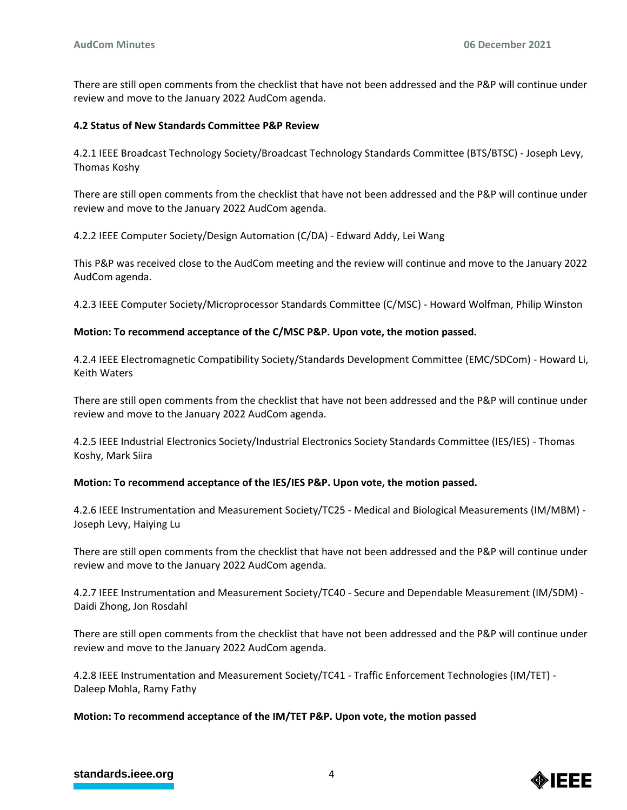There are still open comments from the checklist that have not been addressed and the P&P will continue under review and move to the January 2022 AudCom agenda.

### **4.2 Status of New Standards Committee P&P Review**

4.2.1 IEEE Broadcast Technology Society/Broadcast Technology Standards Committee (BTS/BTSC) - Joseph Levy, Thomas Koshy

There are still open comments from the checklist that have not been addressed and the P&P will continue under review and move to the January 2022 AudCom agenda.

4.2.2 IEEE Computer Society/Design Automation (C/DA) - Edward Addy, Lei Wang

This P&P was received close to the AudCom meeting and the review will continue and move to the January 2022 AudCom agenda.

4.2.3 IEEE Computer Society/Microprocessor Standards Committee (C/MSC) - Howard Wolfman, Philip Winston

### **Motion: To recommend acceptance of the C/MSC P&P. Upon vote, the motion passed.**

4.2.4 IEEE Electromagnetic Compatibility Society/Standards Development Committee (EMC/SDCom) - Howard Li, Keith Waters

There are still open comments from the checklist that have not been addressed and the P&P will continue under review and move to the January 2022 AudCom agenda.

4.2.5 IEEE Industrial Electronics Society/Industrial Electronics Society Standards Committee (IES/IES) - Thomas Koshy, Mark Siira

#### **Motion: To recommend acceptance of the IES/IES P&P. Upon vote, the motion passed.**

4.2.6 IEEE Instrumentation and Measurement Society/TC25 - Medical and Biological Measurements (IM/MBM) - Joseph Levy, Haiying Lu

There are still open comments from the checklist that have not been addressed and the P&P will continue under review and move to the January 2022 AudCom agenda.

4.2.7 IEEE Instrumentation and Measurement Society/TC40 - Secure and Dependable Measurement (IM/SDM) - Daidi Zhong, Jon Rosdahl

There are still open comments from the checklist that have not been addressed and the P&P will continue under review and move to the January 2022 AudCom agenda.

4.2.8 IEEE Instrumentation and Measurement Society/TC41 - Traffic Enforcement Technologies (IM/TET) - Daleep Mohla, Ramy Fathy

## **Motion: To recommend acceptance of the IM/TET P&P. Upon vote, the motion passed**

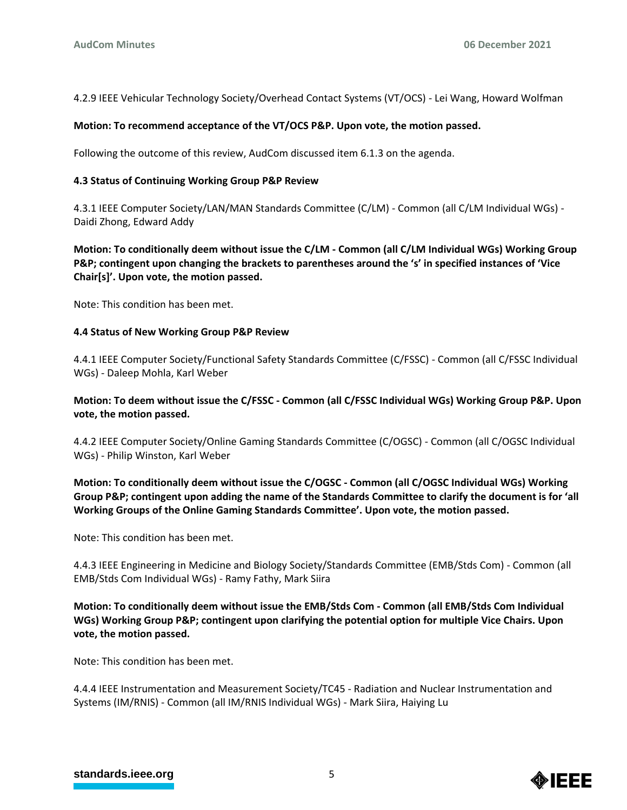4.2.9 IEEE Vehicular Technology Society/Overhead Contact Systems (VT/OCS) - Lei Wang, Howard Wolfman

### **Motion: To recommend acceptance of the VT/OCS P&P. Upon vote, the motion passed.**

Following the outcome of this review, AudCom discussed item 6.1.3 on the agenda.

### **4.3 Status of Continuing Working Group P&P Review**

4.3.1 IEEE Computer Society/LAN/MAN Standards Committee (C/LM) - Common (all C/LM Individual WGs) - Daidi Zhong, Edward Addy

**Motion: To conditionally deem without issue the C/LM - Common (all C/LM Individual WGs) Working Group P&P; contingent upon changing the brackets to parentheses around the 's' in specified instances of 'Vice Chair[s]'. Upon vote, the motion passed.**

Note: This condition has been met.

### **4.4 Status of New Working Group P&P Review**

4.4.1 IEEE Computer Society/Functional Safety Standards Committee (C/FSSC) - Common (all C/FSSC Individual WGs) - Daleep Mohla, Karl Weber

## **Motion: To deem without issue the C/FSSC - Common (all C/FSSC Individual WGs) Working Group P&P. Upon vote, the motion passed.**

4.4.2 IEEE Computer Society/Online Gaming Standards Committee (C/OGSC) - Common (all C/OGSC Individual WGs) - Philip Winston, Karl Weber

# **Motion: To conditionally deem without issue the C/OGSC - Common (all C/OGSC Individual WGs) Working Group P&P; contingent upon adding the name of the Standards Committee to clarify the document is for 'all Working Groups of the Online Gaming Standards Committee'. Upon vote, the motion passed.**

Note: This condition has been met.

4.4.3 IEEE Engineering in Medicine and Biology Society/Standards Committee (EMB/Stds Com) - Common (all EMB/Stds Com Individual WGs) - Ramy Fathy, Mark Siira

**Motion: To conditionally deem without issue the EMB/Stds Com - Common (all EMB/Stds Com Individual WGs) Working Group P&P; contingent upon clarifying the potential option for multiple Vice Chairs. Upon vote, the motion passed.**

Note: This condition has been met.

4.4.4 IEEE Instrumentation and Measurement Society/TC45 - Radiation and Nuclear Instrumentation and Systems (IM/RNIS) - Common (all IM/RNIS Individual WGs) - Mark Siira, Haiying Lu

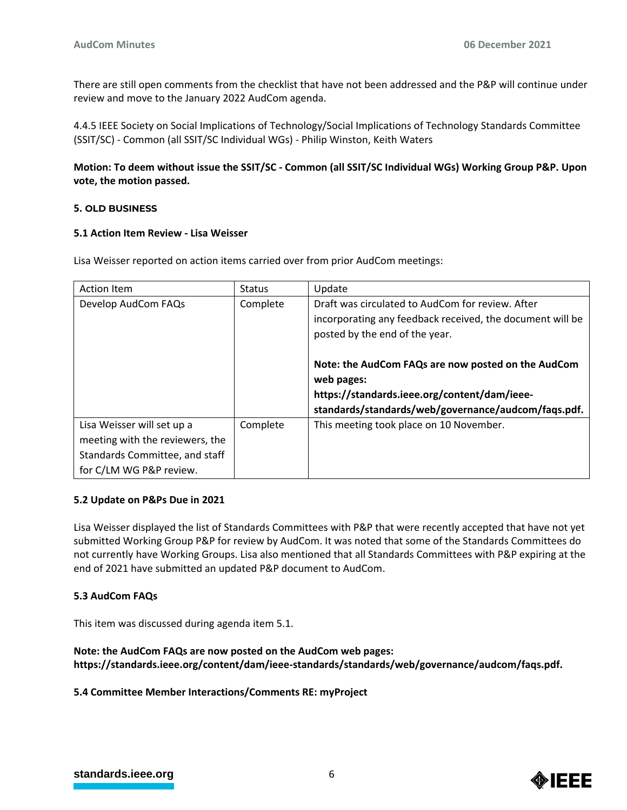There are still open comments from the checklist that have not been addressed and the P&P will continue under review and move to the January 2022 AudCom agenda.

4.4.5 IEEE Society on Social Implications of Technology/Social Implications of Technology Standards Committee (SSIT/SC) - Common (all SSIT/SC Individual WGs) - Philip Winston, Keith Waters

**Motion: To deem without issue the SSIT/SC - Common (all SSIT/SC Individual WGs) Working Group P&P. Upon vote, the motion passed.**

### **5. OLD BUSINESS**

#### **5.1 Action Item Review - Lisa Weisser**

Lisa Weisser reported on action items carried over from prior AudCom meetings:

| <b>Action Item</b>                                                                                                         | <b>Status</b> | Update                                                                                                                                                                  |
|----------------------------------------------------------------------------------------------------------------------------|---------------|-------------------------------------------------------------------------------------------------------------------------------------------------------------------------|
| Develop AudCom FAQs                                                                                                        | Complete      | Draft was circulated to AudCom for review. After                                                                                                                        |
|                                                                                                                            |               | incorporating any feedback received, the document will be                                                                                                               |
|                                                                                                                            |               | posted by the end of the year.                                                                                                                                          |
|                                                                                                                            |               | Note: the AudCom FAQs are now posted on the AudCom<br>web pages:<br>https://standards.ieee.org/content/dam/ieee-<br>standards/standards/web/governance/audcom/faqs.pdf. |
| Lisa Weisser will set up a<br>meeting with the reviewers, the<br>Standards Committee, and staff<br>for C/LM WG P&P review. | Complete      | This meeting took place on 10 November.                                                                                                                                 |

#### **5.2 Update on P&Ps Due in 2021**

Lisa Weisser displayed the list of Standards Committees with P&P that were recently accepted that have not yet submitted Working Group P&P for review by AudCom. It was noted that some of the Standards Committees do not currently have Working Groups. Lisa also mentioned that all Standards Committees with P&P expiring at the end of 2021 have submitted an updated P&P document to AudCom.

## **5.3 AudCom FAQs**

This item was discussed during agenda item 5.1.

**Note: the AudCom FAQs are now posted on the AudCom web pages: https://standards.ieee.org/content/dam/ieee-standards/standards/web/governance/audcom/faqs.pdf.**

**5.4 Committee Member Interactions/Comments RE: myProject**

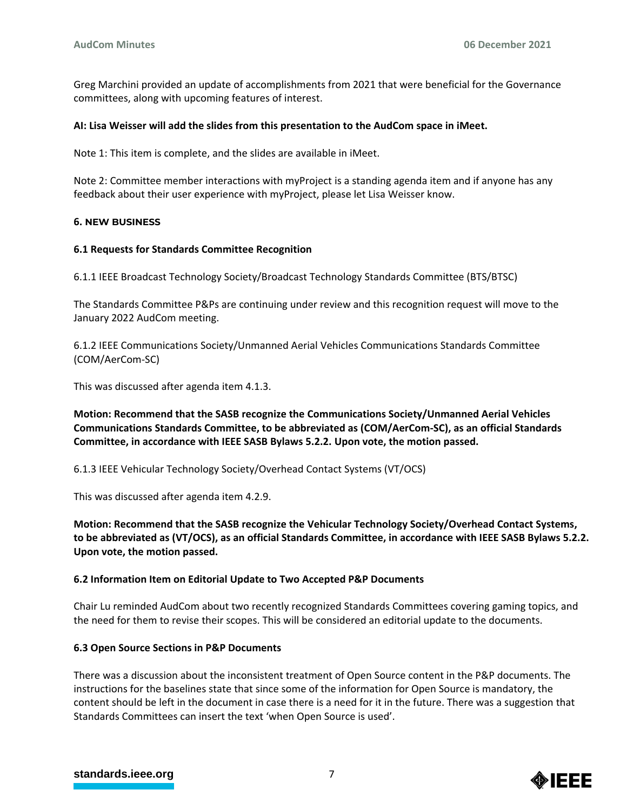Greg Marchini provided an update of accomplishments from 2021 that were beneficial for the Governance committees, along with upcoming features of interest.

### **AI: Lisa Weisser will add the slides from this presentation to the AudCom space in iMeet.**

Note 1: This item is complete, and the slides are available in iMeet.

Note 2: Committee member interactions with myProject is a standing agenda item and if anyone has any feedback about their user experience with myProject, please let Lisa Weisser know.

### **6. NEW BUSINESS**

### **6.1 Requests for Standards Committee Recognition**

6.1.1 IEEE Broadcast Technology Society/Broadcast Technology Standards Committee (BTS/BTSC)

The Standards Committee P&Ps are continuing under review and this recognition request will move to the January 2022 AudCom meeting.

6.1.2 IEEE Communications Society/Unmanned Aerial Vehicles Communications Standards Committee (COM/AerCom-SC)

This was discussed after agenda item 4.1.3.

**Motion: Recommend that the SASB recognize the Communications Society/Unmanned Aerial Vehicles Communications Standards Committee, to be abbreviated as (COM/AerCom-SC), as an official Standards Committee, in accordance with IEEE SASB Bylaws 5.2.2. Upon vote, the motion passed.**

6.1.3 IEEE Vehicular Technology Society/Overhead Contact Systems (VT/OCS)

This was discussed after agenda item 4.2.9.

**Motion: Recommend that the SASB recognize the Vehicular Technology Society/Overhead Contact Systems, to be abbreviated as (VT/OCS), as an official Standards Committee, in accordance with IEEE SASB Bylaws 5.2.2. Upon vote, the motion passed.**

## **6.2 Information Item on Editorial Update to Two Accepted P&P Documents**

Chair Lu reminded AudCom about two recently recognized Standards Committees covering gaming topics, and the need for them to revise their scopes. This will be considered an editorial update to the documents.

#### **6.3 Open Source Sections in P&P Documents**

There was a discussion about the inconsistent treatment of Open Source content in the P&P documents. The instructions for the baselines state that since some of the information for Open Source is mandatory, the content should be left in the document in case there is a need for it in the future. There was a suggestion that Standards Committees can insert the text 'when Open Source is used'.